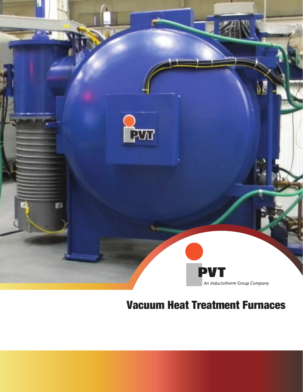

# Vacuum Heat Treatment Furnaces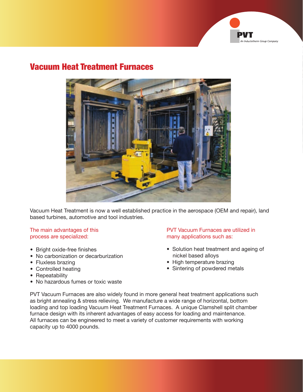

### Vacuum Heat Treatment Furnaces



Vacuum Heat Treatment is now a well established practice in the aerospace (OEM and repair), land based turbines, automotive and tool industries.

# process are specialized: many applications such as:

- Bright oxide-free finishes
- No carbonization or decarburization
- Fluxless brazing
- Controlled heating
- Repeatability
- No hazardous fumes or toxic waste

# The main advantages of this **PVT Vacuum Furnaces are utilized in**

- Solution heat treatment and ageing of nickel based alloys
- High temperature brazing
- Sintering of powdered metals

PVT Vacuum Furnaces are also widely found in more general heat treatment applications such as bright annealing & stress relieving. We manufacture a wide range of horizontal, bottom loading and top loading Vacuum Heat Treatment Furnaces. A unique Clamshell split chamber furnace design with its inherent advantages of easy access for loading and maintenance. All furnaces can be engineered to meet a variety of customer requirements with working capacity up to 4000 pounds.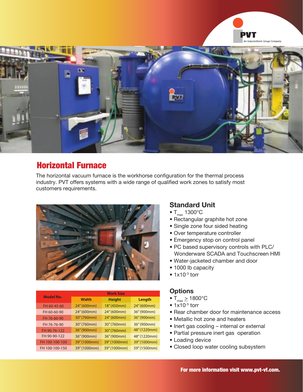



### Horizontal Furnace

The horizontal vacuum furnace is the workhorse configuration for the thermal process industry. PVT offers systems with a wide range of qualified work zones to satisfy most customers requirements.



| <b>Model No.</b> | <b>Work Size</b> |               |              |  |
|------------------|------------------|---------------|--------------|--|
|                  | <b>Width</b>     | <b>Height</b> | Length       |  |
| FH 60-45-60      | 24" (600mm)      | 18" (450mm)   | 24" (600mm)  |  |
| FH 60-60-90      | 24" (600mm)      | 24" (600mm)   | 36" (900mm)  |  |
| FH 76-60-90      | 30" (760mm)      | 24" (600mm)   | 36" (900mm)  |  |
| FH 76-76-90      | 30" (760mm)      | 30" (760mm)   | 36" (900mm)  |  |
| FH 90-76-122     | 36" (900mm)      | 30" (760mm)   | 48" (1220mm) |  |
| FH 90-90-122     | 36" (900mm)      | 36" (900mm)   | 48" (1220mm) |  |
| FH 100-100-100   | 39" (1000mm)     | 39" (1000mm)  | 39" (1000mm) |  |
| FH 100-100-150   | 39" (1000mm)     | 39" (1000mm)  | 59" (1500mm) |  |

#### **Standard Unit**

- $T_{\text{max}}$  1300°C
- Rectangular graphite hot zone
- Single zone four sided heating
- Over temperature controller
- Emergency stop on control panel
- PC based supervisory controls with PLC/ Wonderware SCADA and Touchscreen HMI
- Water-jacketed chamber and door
- 1000 lb capacity
- $1x10^{-3}$  torr

#### **Options**

- $T_{\text{max}} \ge 1800^{\circ} \text{C}$
- $\bullet$  1x10<sup>-5</sup> torr
- Rear chamber door for maintenance access
- Metallic hot zone and heaters
- Inert gas cooling internal or external
- Partial pressure inert gas operation
- Loading device
- Closed loop water cooling subsystem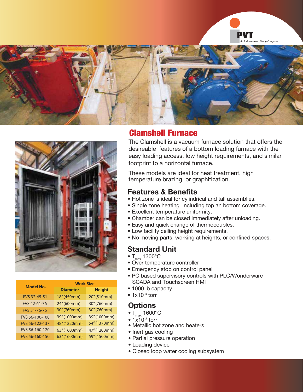





|                     | <b>Work Size</b> |               |  |
|---------------------|------------------|---------------|--|
| <b>Model No.</b>    | <b>Diameter</b>  | <b>Height</b> |  |
| <b>FVS 32-45-51</b> | 18" (450mm)      | 20" (510mm)   |  |
| FVS 42-61-76        | 24" (600mm)      | 30" (760mm)   |  |
| FVS 51-76-76        | 30" (760mm)      | 30" (760mm)   |  |
| FVS 56-100-100      | 39" (1000mm)     | 39" (1000mm)  |  |
| FVS 56-122-137      | 48" (1220mm)     | 54" (1370mm)  |  |
| FVS 56-160-120      | 63" (1600mm)     | 47" (1200mm)  |  |
| FVS 56-160-150      | 63" (1600mm)     | 59" (1500mm)  |  |

## Clamshell Furnace

The Clamshell is a vacuum furnace solution that offers the desireable features of a bottom loading furnace with the easy loading access, low height requirements, and similar footprint to a horizontal furnace.

These models are ideal for heat treatment, high temperature brazing, or graphitization.

#### **Features & Benefits**

- Hot zone is ideal for cylindrical and tall assemblies.
- Single zone heating including top an bottom coverage.
- Excellent temperature uniformity.
- Chamber can be closed immediately after unloading.
- Easy and quick change of thermocouples.
- Low facility ceiling height requirements.
- No moving parts, working at heights, or confined spaces.

#### **Standard Unit**

- $T_{max}$  1300 $^{\circ}$ C
- Over temperature controller
- Emergency stop on control panel
- PC based supervisory controls with PLC/Wonderware SCADA and Touchscreen HMI
- 1000 lb capacity
- $\bullet$  1x10 $^{-3}$  torr

#### **Options**

- $T_{\text{max}}$  1600°C
- $\bullet$  1x10<sup>-5</sup> torr
- Metallic hot zone and heaters
- Inert gas cooling
- Partial pressure operation
- Loading device
- Closed loop water cooling subsystem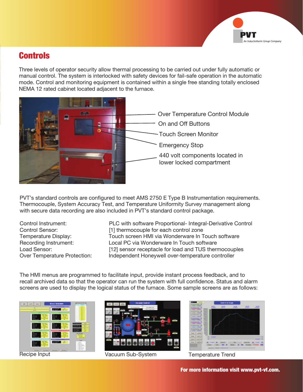

## **Controls**

Three levels of operator security allow thermal processing to be carried out under fully automatic or manual control. The system is interlocked with safety devices for fail-safe operation in the automatic mode. Control and monitoring equipment is contained within a single free standing totally enclosed NEMA 12 rated cabinet located adjacent to the furnace.



PVT's standard controls are configured to meet AMS 2750 E Type B Instrumentation requirements. Thermocouple, System Accuracy Test, and Temperature Uniformity Survey management along with secure data recording are also included in PVT's standard control package.

Control Instrument: PLC with software Proportional- Integral-Derivative Control Control Sensor: [1] thermocouple for each control zone Temperature Display: Touch screen HMI via Wonderware In Touch software Recording Instrument: Local PC via Wonderware In Touch software Load Sensor: [12] sensor receptacle for load and TUS thermocouples Over Temperature Protection: Independent Honeywell over-temperature controller

The HMI menus are programmed to facilitate input, provide instant process feedback, and to recall archived data so that the operator can run the system with full confidence. Status and alarm screens are used to display the logical status of the furnace. Some sample screens are as follows:





Recipe Input **The Contract Contract Contract Vacuum Sub-System** Temperature Trend



For more information visit www.pvt-vf.com.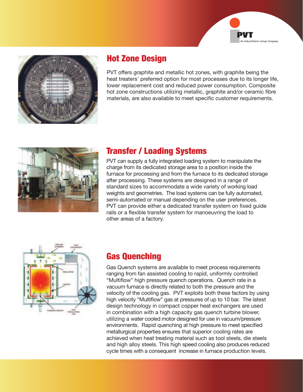



# Hot Zone Design

PVT offers graphite and metallic hot zones, with graphite being the heat treaters' preferred option for most processes due to its longer life, lower replacement cost and reduced power consumption. Composite hot zone constructions utilizing metallic, graphite and/or ceramic fibre materials, are also available to meet specific customer requirements.



# Transfer / Loading Systems

PVT can supply a fully integrated loading system to manipulate the charge from its dedicated storage area to a position inside the furnace for processing and from the furnace to its dedicated storage after processing. These systems are designed in a range of standard sizes to accommodate a wide variety of working load weights and geometries. The load systems can be fully automated, semi-automated or manual depending on the user preferences. PVT can provide either a dedicated transfer system on fixed guide rails or a flexible transfer system for manoeuvring the load to other areas of a factory.



## Gas Quenching

Gas Quench systems are available to meet process requirements ranging from fan assisted cooling to rapid, uniformly controlled "Multiflow" high pressure quench operations. Quench rate in a vacuum furnace is directly related to both the pressure and the velocity of the cooling gas. PVT exploits both these factors by using high velocity "Multiflow" gas at pressures of up to 10 bar. The latest design technology in compact copper heat exchangers are used in combination with a high capacity gas quench turbine blower, utilizing a water cooled motor designed for use in vacuum/pressure environments. Rapid quenching at high pressure to meet specified metallurgical properties ensures that superior cooling rates are achieved when heat treating material such as tool steels, die steels and high alloy steels. This high speed cooling also produces reduced cycle times with a consequent increase in furnace production levels.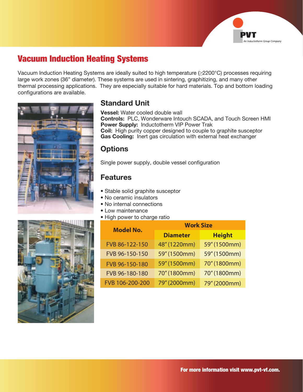

## Vacuum Induction Heating Systems

Vacuum Induction Heating Systems are ideally suited to high temperature (≥2200°C) processes requiring large work zones (36" diameter). These systems are used in sintering, graphitizing, and many other thermal processing applications. They are especially suitable for hard materials. Top and bottom loading configurations are available.



#### **Standard Unit**

**Vessel:** Water cooled double wall

**Controls:** PLC, Wonderware Intouch SCADA, and Touch Screen HMI **Power Supply:** Inductotherm VIP Power Trak **Coil:** High purity copper designed to couple to graphite susceptor **Gas Cooling:** Inert gas circulation with external heat exchanger

#### **Options**

Single power supply, double vessel configuration

#### **Features**

- Stable solid graphite susceptor
- No ceramic insulators
- No internal connections
- Low maintenance
- High power to charge ratio



| <b>Model No.</b> | <b>Work Size</b> |               |  |
|------------------|------------------|---------------|--|
|                  | <b>Diameter</b>  | <b>Height</b> |  |
| FVB 86-122-150   | 48" (1220mm)     | 59" (1500mm)  |  |
| FVB 96-150-150   | 59" (1500mm)     | 59" (1500mm)  |  |
| FVB 96-150-180   | 59" (1500mm)     | 70" (1800mm)  |  |
| FVB 96-180-180   | 70" (1800mm)     | 70" (1800mm)  |  |
| FVB 106-200-200  | 79" (2000mm)     | 79" (2000mm)  |  |